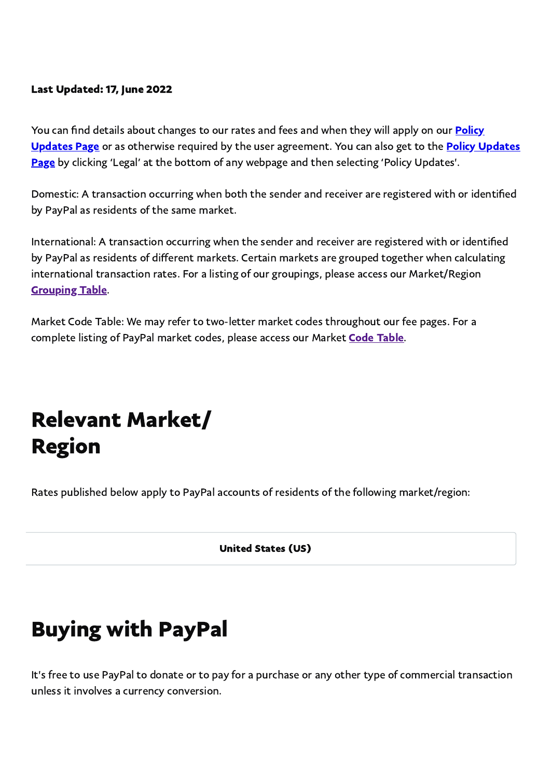#### Last Updated: 17, June 2022

You can find details about changes to our rates and fees and when they will apply on our **Policy** Updates Page or as otherwise required by the user [agreement.](https://www.paypal.com/us/webapps/mpp/ua/upcoming-policies-full?locale.x=en_US) You can also get to the Policy Updates Page by clicking 'Legal' at the bottom of any webpage and then selecting 'Policy Updates'.

<span id="page-0-0"></span>Domestic: A transaction occurring when both the sender and receiver are registered with or identified by PayPal as residents of the same market.

International: A transaction occurring when the sender and receiver are registered with or identified by PayPal as residents of different markets. Certain markets are grouped together when calculating international transaction rates. For a listing of our groupings, please access our Market/Region [Grouping](#page-0-0) Table.

Market Code Table: We may refer to two-letter market codes throughout our fee pages. For a complete listing of PayPal market codes, please access our Market **Code Table**.

## Relevant Market/ Region

Rates published below apply to PayPal accounts of residents of the following market/region:

United States (US)

## Buying with PayPal

It's free to use PayPal to donate or to pay for a purchase or any other type of commercial transaction unless it involves a currency conversion.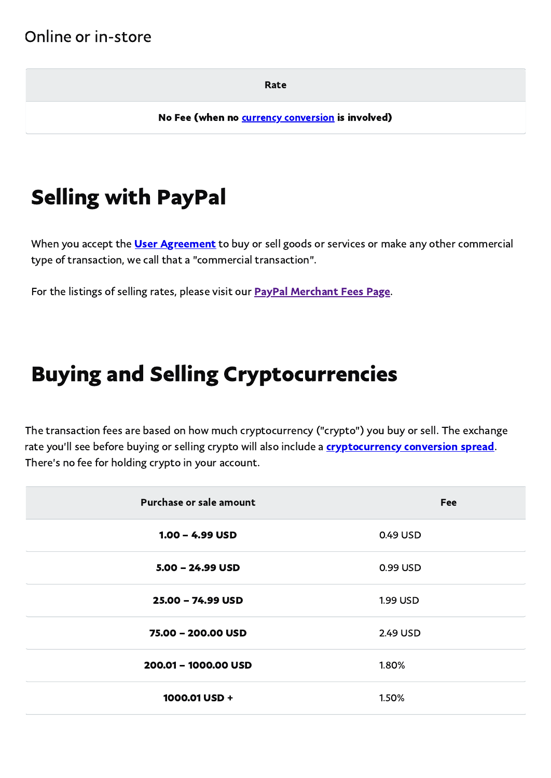#### Online or in-store

Rate

No Fee (when no **currency [conversion](#page-7-0)** is involved)

## Selling with PayPal

When you accept the **User [Agreement](https://www.paypal.com/us/webapps/mpp/ua/useragreement-full?locale.x=en_US)** to buy or sell goods or services or make any other commercial type of transaction, we call that a "commercial transaction".

For the listings of selling rates, please visit our **PayPal [Merchant](https://www.paypal.com/us/webapps/mpp/merchant-fees) Fees Page**.

## Buying and Selling Cryptocurrencies

The transaction fees are based on how much cryptocurrency ("crypto") you buy or sell. The exchange rate you'll see before buying or selling crypto will also include a **[cryptocurrency](https://www.paypal.com/us/webapps/mpp/ua/cryptocurrencies-tnc?locale.x=en_US#fees-pricing) conversion spread**. There's no fee for holding crypto in your account.

| Purchase or sale amount | Fee      |
|-------------------------|----------|
| $1.00 - 4.99$ USD       | 0.49 USD |
| $5.00 - 24.99$ USD      | 0.99 USD |
| 25.00 - 74.99 USD       | 1.99 USD |
| 75.00 - 200.00 USD      | 2.49 USD |
| 200.01 - 1000.00 USD    | 1.80%    |
| 1000.01 USD +           | 1.50%    |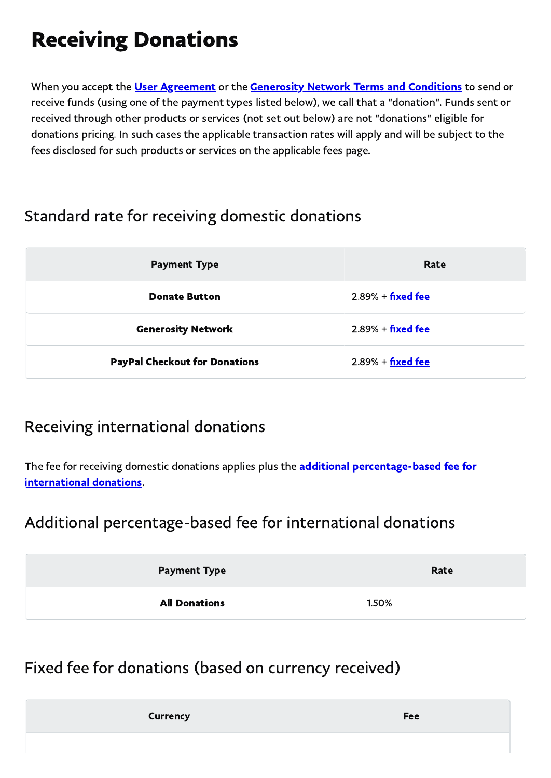# Receiving Donations

When you accept the *User [Agreement](https://www.paypal.com/us/webapps/mpp/ua/useragreement-full?locale.x=en_US)* or the **Generosity Network Terms and [Conditions](https://www.paypal.com/us/webapps/mpp/ua/generositynetwork-tnc?locale.x=en_US)** to send or receive funds (using one of the payment types listed below), we call that a "donation". Funds sent or received through other products or services (not set out below) are not "donations" eligible for donations pricing. In such cases the applicable transaction rates will apply and will be subject to the fees disclosed for such products or services on the applicable fees page.

### Standard rate for receiving domestic donations

| <b>Payment Type</b>                  | Rate                 |
|--------------------------------------|----------------------|
| <b>Donate Button</b>                 | $2.89\% +$ fixed fee |
| <b>Generosity Network</b>            | $2.89% + fixed$ fee  |
| <b>PayPal Checkout for Donations</b> | $2.89% + fixed$ fee  |

### Receiving international donations

The fee for receiving domestic donations applies plus the **additional percentage-based fee for** international donations.

#### Additional percentage-based fee for international donations

| <b>Payment Type</b>  | Rate  |
|----------------------|-------|
| <b>All Donations</b> | 1.50% |

### Fixed fee for donations (based on currency received)

<span id="page-2-0"></span>

| Fee |
|-----|
|     |
|     |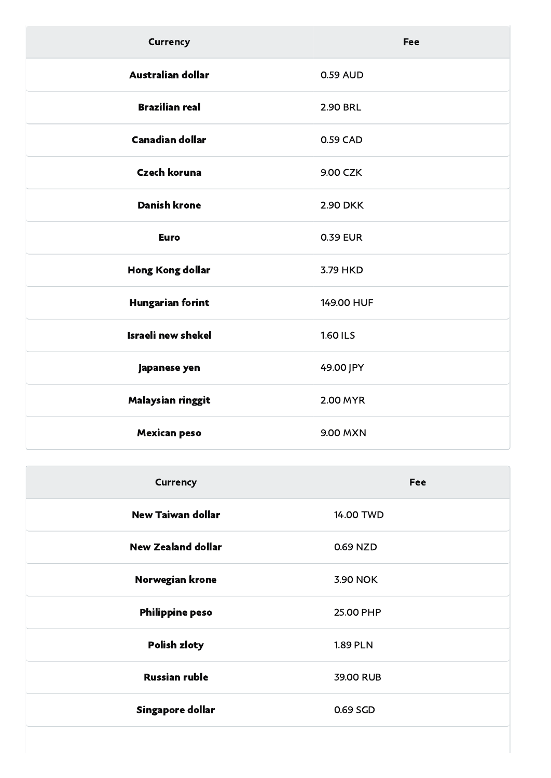| <b>Currency</b>           | Fee             |
|---------------------------|-----------------|
| <b>Australian dollar</b>  | 0.59 AUD        |
| <b>Brazilian real</b>     | <b>2.90 BRL</b> |
| <b>Canadian dollar</b>    | 0.59 CAD        |
| <b>Czech koruna</b>       | 9.00 CZK        |
| <b>Danish krone</b>       | <b>2.90 DKK</b> |
| <b>Euro</b>               | <b>0.39 EUR</b> |
| Hong Kong dollar          | 3.79 HKD        |
| <b>Hungarian forint</b>   | 149.00 HUF      |
| <b>Israeli new shekel</b> | <b>1.60 ILS</b> |
| Japanese yen              | 49.00 JPY       |
| Malaysian ringgit         | 2.00 MYR        |
| <b>Mexican peso</b>       | 9.00 MXN        |

| <b>Currency</b>           | Fee             |
|---------------------------|-----------------|
| <b>New Taiwan dollar</b>  | 14.00 TWD       |
| <b>New Zealand dollar</b> | 0.69 NZD        |
| Norwegian krone           | 3.90 NOK        |
| <b>Philippine peso</b>    | 25.00 PHP       |
| <b>Polish zloty</b>       | <b>1.89 PLN</b> |
| <b>Russian ruble</b>      | 39.00 RUB       |
| Singapore dollar          | 0.69 SGD        |
|                           |                 |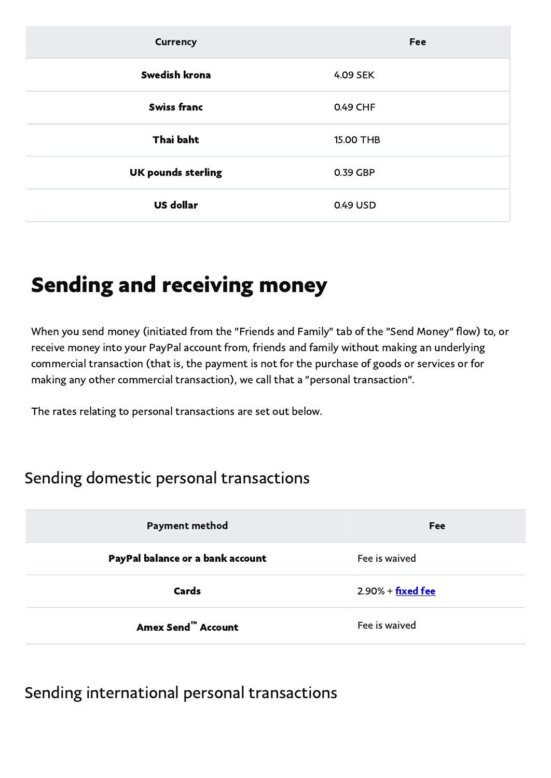| <b>Currency</b>           | Fee       |
|---------------------------|-----------|
| <b>Swedish krona</b>      | 4.09 SEK  |
| <b>Swiss franc</b>        | 0.49 CHF  |
| <b>Thai baht</b>          | 15.00 THB |
| <b>UK pounds sterling</b> | 0.39 GBP  |
| <b>US dollar</b>          | 0.49 USD  |

## Sending and receiving money

When you send money (initiated from the "Friends and Family" tab of the "Send Money" flow) to, or receive money into your PayPal account from, friends and family without making an underlying commercial transaction (that is, the payment is not for the purchase of goods or services or for making any other commercial transaction), we call that a "personal transaction".

The rates relating to personal transactions are set out below.

#### Sending domestic personal transactions

| <b>Payment method</b>            | <b>Fee</b>                  |
|----------------------------------|-----------------------------|
| PayPal balance or a bank account | Fee is waived               |
| Cards                            | $2.90\% + \text{fixed fee}$ |
| <b>Amex Send™ Account</b>        | Fee is waived               |

#### Sending international personal transactions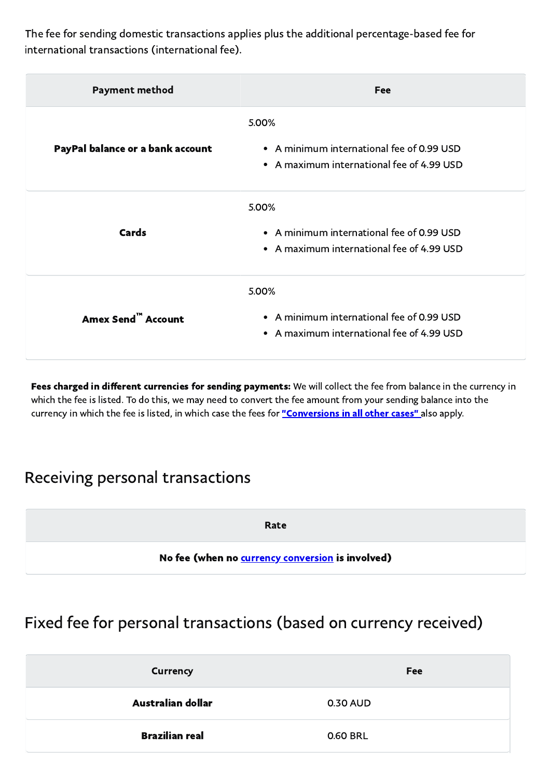The fee for sending domestic transactions applies plus the additional percentage-based fee for international transactions (international fee).

| <b>Payment method</b>            | Fee                                                                                             |
|----------------------------------|-------------------------------------------------------------------------------------------------|
| PayPal balance or a bank account | 5.00%<br>• A minimum international fee of 0.99 USD<br>• A maximum international fee of 4.99 USD |
| <b>Cards</b>                     | 5.00%<br>• A minimum international fee of 0.99 USD<br>• A maximum international fee of 4.99 USD |
| Amex Send <sup>""</sup> Account  | 5.00%<br>• A minimum international fee of 0.99 USD<br>• A maximum international fee of 4.99 USD |

Fees charged in different currencies for sending payments: We will collect the fee from balance in the currency in which the fee is listed. To do this, we may need to convert the fee amount from your sending balance into the currency in which the fee is listed, in which case the fees for "[Conversions](#page-7-0) in all other cases" also apply.

#### Receiving personal transactions

<span id="page-5-0"></span>Rate

No fee (when no **currency [conversion](#page-7-0)** is involved)

### Fixed fee for personal transactions (based on currency received)

| Currency              | <b>Fee</b> |
|-----------------------|------------|
| Australian dollar     | 0.30 AUD   |
| <b>Brazilian real</b> | 0.60 BRL   |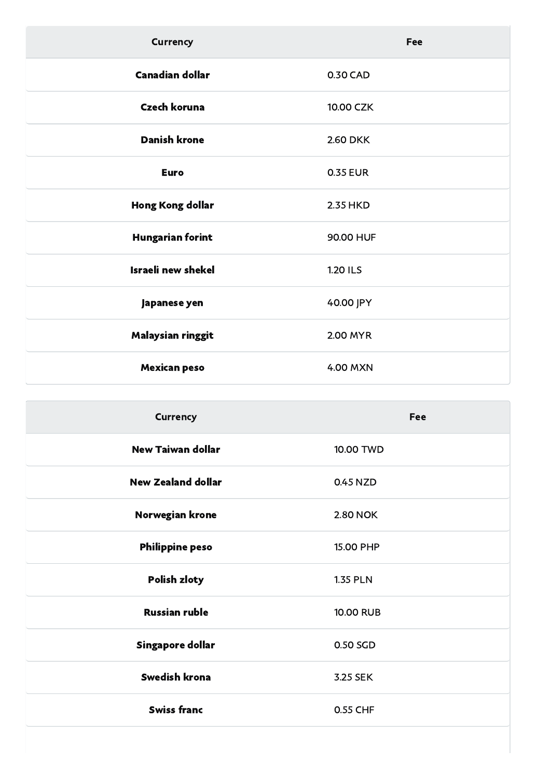| <b>Currency</b>           | Fee             |
|---------------------------|-----------------|
| <b>Canadian dollar</b>    | 0.30 CAD        |
| <b>Czech koruna</b>       | 10.00 CZK       |
| <b>Danish krone</b>       | <b>2.60 DKK</b> |
| <b>Euro</b>               | <b>0.35 EUR</b> |
| Hong Kong dollar          | 2.35 HKD        |
| <b>Hungarian forint</b>   | 90.00 HUF       |
| <b>Israeli new shekel</b> | <b>1.20 ILS</b> |
| Japanese yen              | 40.00 JPY       |
| Malaysian ringgit         | 2.00 MYR        |
| <b>Mexican peso</b>       | 4.00 MXN        |

| <b>Currency</b>           | <b>Fee</b>       |
|---------------------------|------------------|
| <b>New Taiwan dollar</b>  | 10.00 TWD        |
| <b>New Zealand dollar</b> | 0.45 NZD         |
| Norwegian krone           | <b>2.80 NOK</b>  |
| <b>Philippine peso</b>    | 15.00 PHP        |
| <b>Polish zloty</b>       | <b>1.35 PLN</b>  |
| <b>Russian ruble</b>      | <b>10.00 RUB</b> |
| Singapore dollar          | 0.50 SGD         |
| Swedish krona             | 3.25 SEK         |
| <b>Swiss franc</b>        | 0.55 CHF         |
|                           |                  |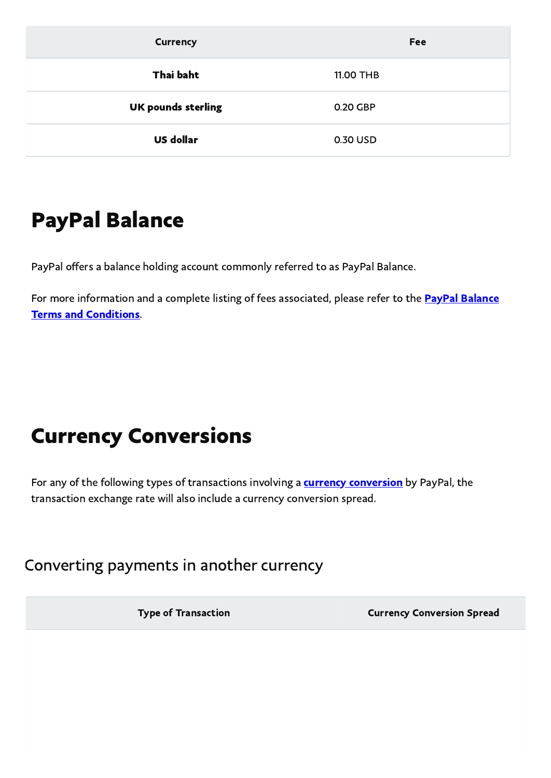| <b>Currency</b>           | <b>Fee</b> |
|---------------------------|------------|
| Thai baht                 | 11.00 THB  |
| <b>UK pounds sterling</b> | 0.20 GBP   |
| <b>US dollar</b>          | 0.30 USD   |

### PayPal Balance

PayPal offers a balance holding account commonly referred to as PayPal Balance.

<span id="page-7-0"></span>For more information and a complete listing of fees associated, please refer to the **PayPal Balance** Terms and [Conditions.](https://www.paypal.com/us/webapps/mpp/ua/cashagreement-full?locale.x=en_US)

## Currency Conversions

For any of the following types of transactions involving a **currency [conversion](https://www.paypal.com/us/webapps/mpp/ua/useragreement-full?locale.x=en_US#currency-conversion)** by PayPal, the transaction exchange rate will also include a currency conversion spread.

Converting payments in another currency

Type of Transaction **Currency Conversion Spread**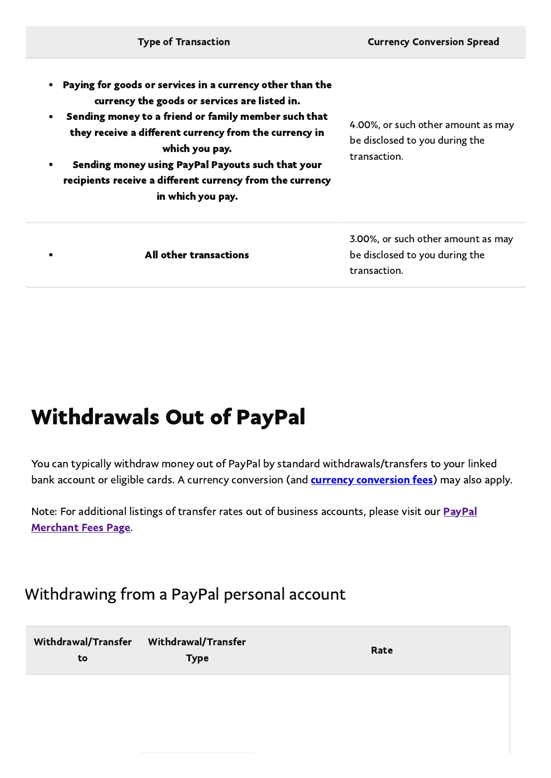| <b>Type of Transaction</b>                                                                                                                                                                                                                                                                                                                                                            | <b>Currency Conversion Spread</b>                                                    |
|---------------------------------------------------------------------------------------------------------------------------------------------------------------------------------------------------------------------------------------------------------------------------------------------------------------------------------------------------------------------------------------|--------------------------------------------------------------------------------------|
| Paying for goods or services in a currency other than the<br>currency the goods or services are listed in.<br>Sending money to a friend or family member such that<br>they receive a different currency from the currency in<br>which you pay.<br>Sending money using PayPal Payouts such that your<br>recipients receive a different currency from the currency<br>in which you pay. | 4.00%, or such other amount as may<br>be disclosed to you during the<br>transaction. |
| All other transactions                                                                                                                                                                                                                                                                                                                                                                | 3.00%, or such other amount as may<br>be disclosed to you during the<br>transaction. |

## Withdrawals Out of PayPal

You can typically withdraw money out of PayPal by standard withdrawals/transfers to your linked bank account or eligible cards. A currency [conversion](#page-7-0) (and **currency conversion fees**) may also apply.

Note: For additional listings of transfer rates out of business [accounts,](https://www.paypal.com/us/webapps/mpp/merchant-fees) please visit our **PayPal** Merchant Fees Page.

### Withdrawing from a PayPal personal account

| Withdrawal/Transfer<br>to | Withdrawal/Transfer<br><b>Type</b> | Rate |
|---------------------------|------------------------------------|------|
|                           |                                    |      |
|                           |                                    |      |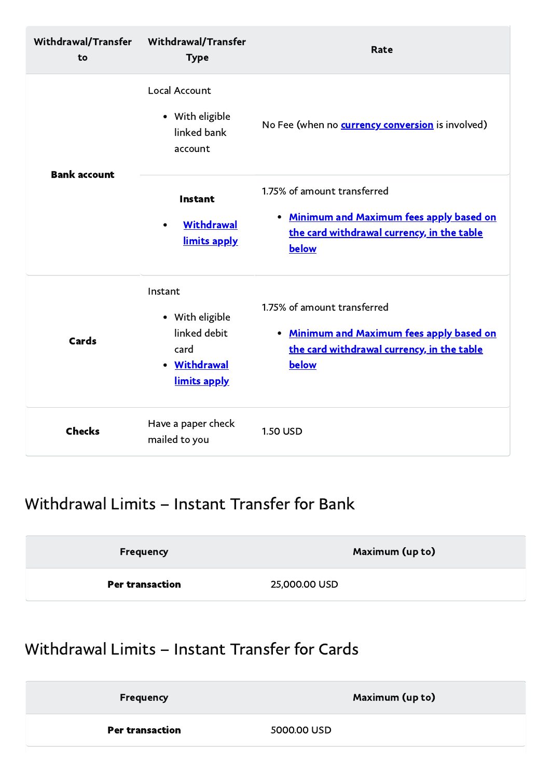| Withdrawal/Transfer<br>to | <b>Withdrawal/Transfer</b><br><b>Type</b>                                          | <b>Rate</b>                                                                                                                     |
|---------------------------|------------------------------------------------------------------------------------|---------------------------------------------------------------------------------------------------------------------------------|
|                           | <b>Local Account</b><br>• With eligible<br>linked bank<br>account                  | No Fee (when no <b>currency conversion</b> is involved)                                                                         |
| <b>Bank account</b>       | Instant<br>Withdrawal<br>limits apply                                              | 1.75% of amount transferred<br>• Minimum and Maximum fees apply based on<br>the card withdrawal currency, in the table<br>below |
| <b>Cards</b>              | Instant<br>• With eligible<br>linked debit<br>card<br>• Withdrawal<br>limits apply | 1.75% of amount transferred<br>• Minimum and Maximum fees apply based on<br>the card withdrawal currency, in the table<br>below |
| <b>Checks</b>             | Have a paper check<br>mailed to you                                                | <b>1.50 USD</b>                                                                                                                 |

### <span id="page-9-0"></span>Withdrawal Limits – Instant Transfer for Bank

<span id="page-9-1"></span>

| <b>Frequency</b>       | Maximum (up to) |
|------------------------|-----------------|
| <b>Per transaction</b> | 25,000.00 USD   |

### Withdrawal Limits – Instant Transfer for Cards

| <b>Frequency</b>       | Maximum (up to) |
|------------------------|-----------------|
| <b>Per transaction</b> | 5000.00 USD     |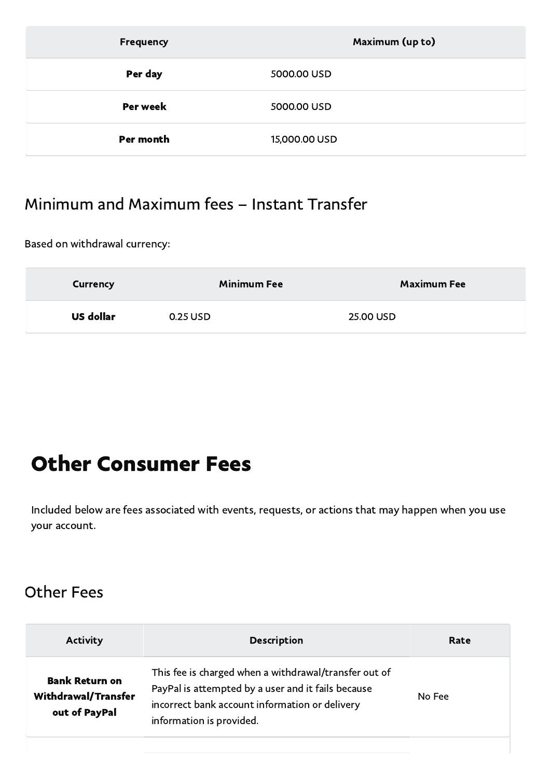| Frequency | Maximum (up to) |
|-----------|-----------------|
| Per day   | 5000.00 USD     |
| Per week  | 5000.00 USD     |
| Per month | 15,000.00 USD   |

### Minimum and Maximum fees – Instant Transfer

Based on withdrawal currency:

| Currency         | <b>Minimum Fee</b> | <b>Maximum Fee</b> |
|------------------|--------------------|--------------------|
| <b>US dollar</b> | 0.25 USD           | 25.00 USD          |

## Other Consumer Fees

Included below are fees associated with events, requests, or actions that may happen when you use your account.

#### Other Fees

| <b>Activity</b>                                                      | <b>Description</b>                                                                                                                                                                        | Rate   |
|----------------------------------------------------------------------|-------------------------------------------------------------------------------------------------------------------------------------------------------------------------------------------|--------|
| <b>Bank Return on</b><br><b>Withdrawal/Transfer</b><br>out of PayPal | This fee is charged when a withdrawal/transfer out of<br>PayPal is attempted by a user and it fails because<br>incorrect bank account information or delivery<br>information is provided. | No Fee |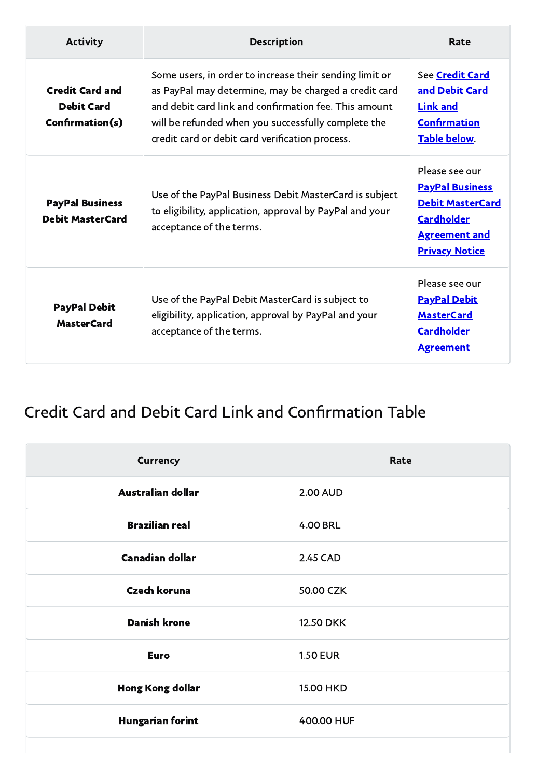| <b>Activity</b>                                                | <b>Description</b>                                                                                                                                                                                                                                                                  | Rate                                                                                                                                      |
|----------------------------------------------------------------|-------------------------------------------------------------------------------------------------------------------------------------------------------------------------------------------------------------------------------------------------------------------------------------|-------------------------------------------------------------------------------------------------------------------------------------------|
| <b>Credit Card and</b><br><b>Debit Card</b><br>Confirmation(s) | Some users, in order to increase their sending limit or<br>as PayPal may determine, may be charged a credit card<br>and debit card link and confirmation fee. This amount<br>will be refunded when you successfully complete the<br>credit card or debit card verification process. | See Credit Card<br>and Debit Card<br><b>Link and</b><br><b>Confirmation</b><br><b>Table below.</b>                                        |
| <b>PayPal Business</b><br><b>Debit MasterCard</b>              | Use of the PayPal Business Debit MasterCard is subject<br>to eligibility, application, approval by PayPal and your<br>acceptance of the terms.                                                                                                                                      | Please see our<br><b>PayPal Business</b><br><b>Debit MasterCard</b><br><b>Cardholder</b><br><b>Agreement and</b><br><b>Privacy Notice</b> |
| <b>PayPal Debit</b><br><b>MasterCard</b>                       | Use of the PayPal Debit MasterCard is subject to<br>eligibility, application, approval by PayPal and your<br>acceptance of the terms.                                                                                                                                               | Please see our<br><b>PayPal Debit</b><br><b>MasterCard</b><br><b>Cardholder</b><br><b>Agreement</b>                                       |

### <span id="page-11-0"></span>Credit Card and Debit Card Link and Confirmation Table

| <b>Currency</b>         | Rate             |
|-------------------------|------------------|
| Australian dollar       | <b>2.00 AUD</b>  |
| <b>Brazilian real</b>   | <b>4.00 BRL</b>  |
| <b>Canadian dollar</b>  | 2.45 CAD         |
| <b>Czech koruna</b>     | 50.00 CZK        |
| <b>Danish krone</b>     | <b>12.50 DKK</b> |
| <b>Euro</b>             | <b>1.50 EUR</b>  |
| Hong Kong dollar        | 15.00 HKD        |
| <b>Hungarian forint</b> | 400.00 HUF       |
|                         |                  |